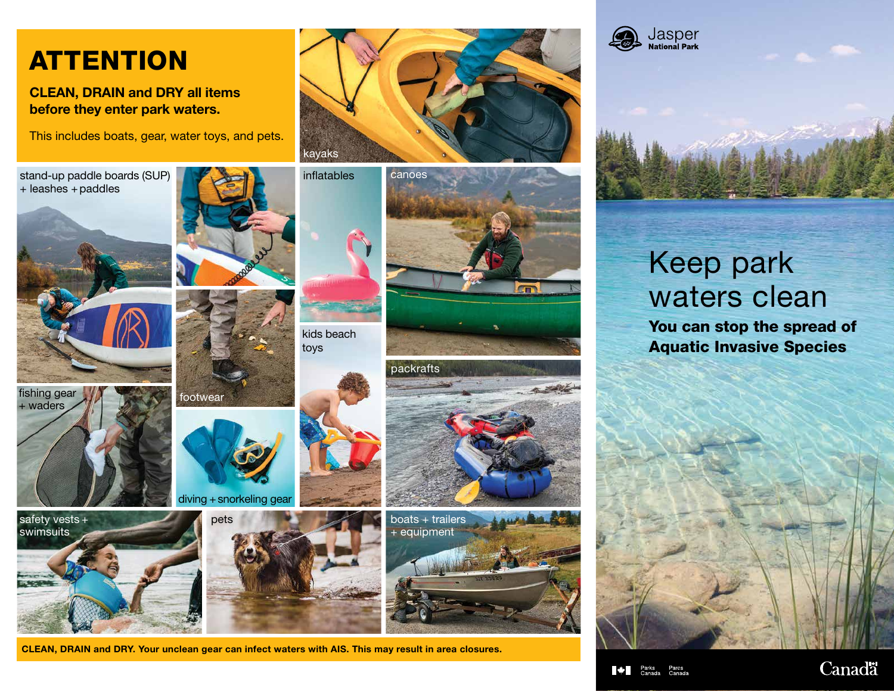## **ATTENTION**

#### CLEAN, DRAIN and DRY all items before they enter park waters.

This includes boats, gear, water toys, and pets.

stand-up paddle boards (SUP) + leashes + paddles











footwear

diving + snorkeling gear



kids beach toys















# Keep park waters clean

You can stop the spread of Aquatic Invasive Species